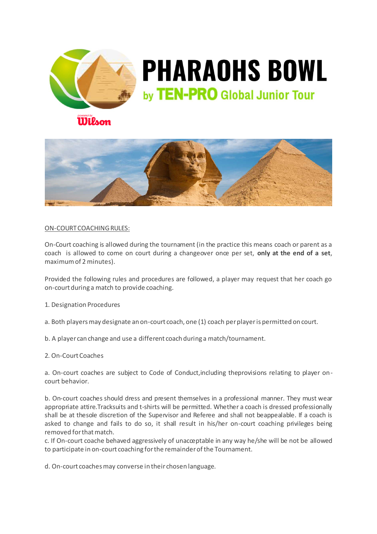

## **PHARAOHS BOWL** by TEN-PRO Global Junior Tour

## Wilson



## ON-COURT COACHINGRULES:

On-Court coaching is allowed during the tournament (in the practice this means coach or parent as a coach is allowed to come on court during a changeover once per set, **only at the end of a set**, maximum of 2 minutes).

Provided the following rules and procedures are followed, a player may request that her coach go on-court during a match to provide coaching.

1. Designation Procedures

a. Both players may designate an on-court coach, one (1) coach per player is permitted on court.

b. A player can change and use a different coach during a match/tournament.

## 2. On-Court Coaches

a. On-court coaches are subject to Code of Conduct,including theprovisions relating to player oncourt behavior.

b. On-court coaches should dress and present themselves in a professional manner. They must wear appropriate attire.Tracksuits and t-shirts will be permitted. Whether a coach is dressed professionally shall be at thesole discretion of the Supervisor and Referee and shall not beappealable. If a coach is asked to change and fails to do so, it shall result in his/her on-court coaching privileges being removed for that match.

c. If On-court coache behaved aggressively of unacceptable in any way he/she will be not be allowed to participate in on-court coaching for the remainder of the Tournament.

d. On-court coaches may converse in their chosen language.